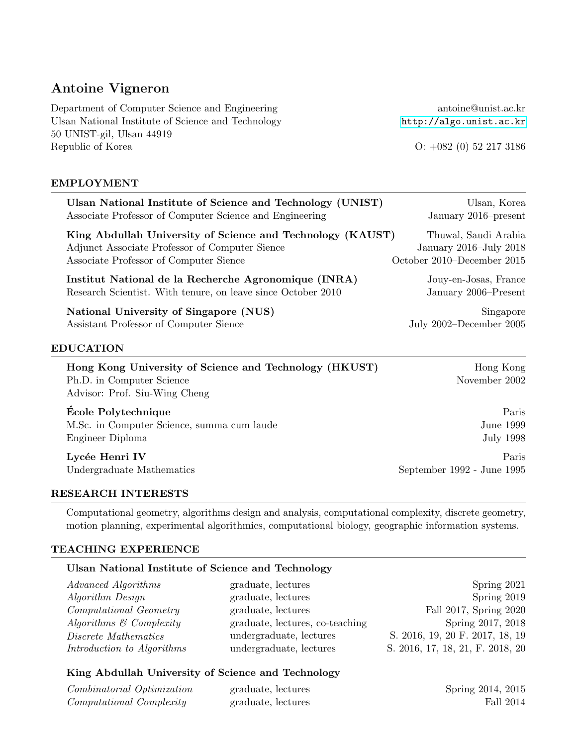# Antoine Vigneron

Department of Computer Science and Engineering antoine@unist.ac.kr Ulsan National Institute of Science and Technology <http://algo.unist.ac.kr> 50 UNIST-gil, Ulsan 44919 Republic of Korea O: +082 (0) 52 217 3186

#### EMPLOYMENT

| Ulsan National Institute of Science and Technology (UNIST)                                                           | Ulsan, Korea               |
|----------------------------------------------------------------------------------------------------------------------|----------------------------|
| Associate Professor of Computer Science and Engineering                                                              | January 2016–present       |
| King Abdullah University of Science and Technology (KAUST)                                                           | Thuwal, Saudi Arabia       |
| Adjunct Associate Professor of Computer Sience                                                                       | January 2016–July 2018     |
| Associate Professor of Computer Sience                                                                               | October 2010–December 2015 |
| Institut National de la Recherche Agronomique (INRA)                                                                 | Jouy-en-Josas, France      |
| Research Scientist. With tenure, on leave since October 2010                                                         | January 2006–Present       |
| National University of Singapore (NUS)                                                                               | Singapore                  |
| Assistant Professor of Computer Sience                                                                               | July 2002–December 2005    |
| <b>EDUCATION</b>                                                                                                     |                            |
| Hong Kong University of Science and Technology (HKUST)<br>Ph.D. in Computer Science<br>Advisor: Prof. Siu-Wing Cheng | Hong Kong<br>November 2002 |
| École Polytechnique                                                                                                  | Paris                      |
| M.Sc. in Computer Science, summa cum laude                                                                           | June 1999                  |
| Engineer Diploma                                                                                                     | July 1998                  |
| Lycée Henri IV                                                                                                       | Paris                      |
| Undergraduate Mathematics                                                                                            | September 1992 - June 1995 |

### RESEARCH INTERESTS

Computational geometry, algorithms design and analysis, computational complexity, discrete geometry, motion planning, experimental algorithmics, computational biology, geographic information systems.

#### TEACHING EXPERIENCE

## Ulsan National Institute of Science and Technology

| Advanced Algorithms                | graduate, lectures              | Spring 2021                      |
|------------------------------------|---------------------------------|----------------------------------|
| <i>Algorithm Design</i>            | graduate, lectures              | Spring 2019                      |
| <i>Computational Geometry</i>      | graduate, lectures              | Fall 2017, Spring 2020           |
| Algorithms $\mathcal C$ Complexity | graduate, lectures, co-teaching | Spring 2017, 2018                |
| Discrete Mathematics               | undergraduate, lectures         | S. 2016, 19, 20 F. 2017, 18, 19  |
| Introduction to Algorithms         | undergraduate, lectures         | S. 2016, 17, 18, 21, F. 2018, 20 |

# King Abdullah University of Science and Technology

| Combinatorial Optimization      | graduate, lectures | Spring 2014, 2015 |
|---------------------------------|--------------------|-------------------|
| <i>Computational Complexity</i> | graduate, lectures | Fall 2014         |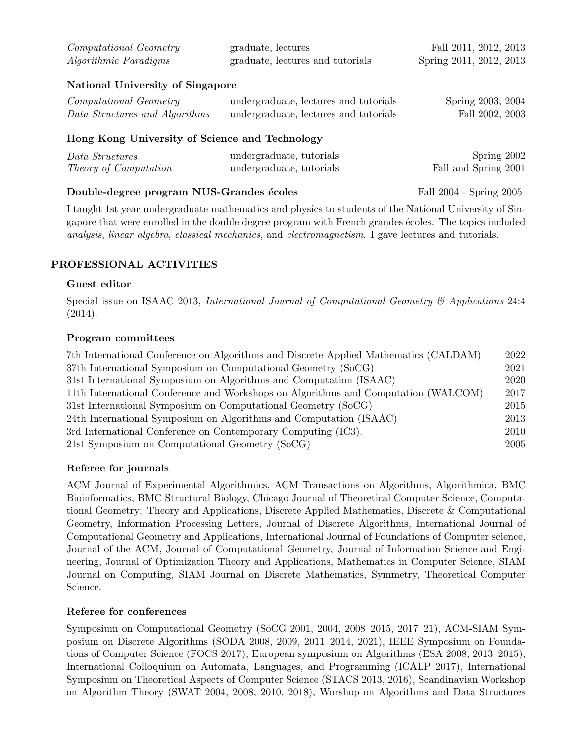| <i>Computational Geometry</i> | graduate, lectures               | Fall 2011, 2012, 2013   |
|-------------------------------|----------------------------------|-------------------------|
| <i>Algorithmic Paradigms</i>  | graduate, lectures and tutorials | Spring 2011, 2012, 2013 |

## National University of Singapore

| <i>Computational Geometry</i><br>Data Structures and Algorithms | undergraduate, lectures and tutorials<br>undergraduate, lectures and tutorials | Spring 2003, 2004<br>Fall 2002, 2003 |
|-----------------------------------------------------------------|--------------------------------------------------------------------------------|--------------------------------------|
| Hong Kong University of Science and Technology                  |                                                                                |                                      |
| Data Structures                                                 | undergraduate, tutorials                                                       | Spring 2002                          |

| $\emph{Data}$ structures     | undergraduate, tutoriais | $\mu$ pling $2002$   |
|------------------------------|--------------------------|----------------------|
| <i>Theory of Computation</i> | undergraduate, tutorials | Fall and Spring 2001 |
|                              |                          |                      |

## Double-degree program NUS-Grandes ´ecoles Fall 2004 - Spring 2005

I taught 1st year undergraduate mathematics and physics to students of the National University of Singapore that were enrolled in the double degree program with French grandes écoles. The topics included analysis, linear algebra, classical mechanics, and electromagnetism. I gave lectures and tutorials.

# PROFESSIONAL ACTIVITIES

## Guest editor

Special issue on ISAAC 2013, International Journal of Computational Geometry & Applications 24:4 (2014).

# Program committees

| 7th International Conference on Algorithms and Discrete Applied Mathematics (CALDAM) | 2022 |
|--------------------------------------------------------------------------------------|------|
| 37th International Symposium on Computational Geometry (SoCG)                        | 2021 |
| 31st International Symposium on Algorithms and Computation (ISAAC)                   | 2020 |
| 11th International Conference and Workshops on Algorithms and Computation (WALCOM)   | 2017 |
| 31st International Symposium on Computational Geometry (SoCG)                        | 2015 |
| 24th International Symposium on Algorithms and Computation (ISAAC)                   | 2013 |
| 3rd International Conference on Contemporary Computing (IC3).                        | 2010 |
| 21st Symposium on Computational Geometry (SoCG)                                      | 2005 |

# Referee for journals

ACM Journal of Experimental Algorithmics, ACM Transactions on Algorithms, Algorithmica, BMC Bioinformatics, BMC Structural Biology, Chicago Journal of Theoretical Computer Science, Computational Geometry: Theory and Applications, Discrete Applied Mathematics, Discrete & Computational Geometry, Information Processing Letters, Journal of Discrete Algorithms, International Journal of Computational Geometry and Applications, International Journal of Foundations of Computer science, Journal of the ACM, Journal of Computational Geometry, Journal of Information Science and Engineering, Journal of Optimization Theory and Applications, Mathematics in Computer Science, SIAM Journal on Computing, SIAM Journal on Discrete Mathematics, Symmetry, Theoretical Computer Science.

## Referee for conferences

Symposium on Computational Geometry (SoCG 2001, 2004, 2008–2015, 2017–21), ACM-SIAM Symposium on Discrete Algorithms (SODA 2008, 2009, 2011–2014, 2021), IEEE Symposium on Foundations of Computer Science (FOCS 2017), European symposium on Algorithms (ESA 2008, 2013–2015), International Colloquium on Automata, Languages, and Programming (ICALP 2017), International Symposium on Theoretical Aspects of Computer Science (STACS 2013, 2016), Scandinavian Workshop on Algorithm Theory (SWAT 2004, 2008, 2010, 2018), Worshop on Algorithms and Data Structures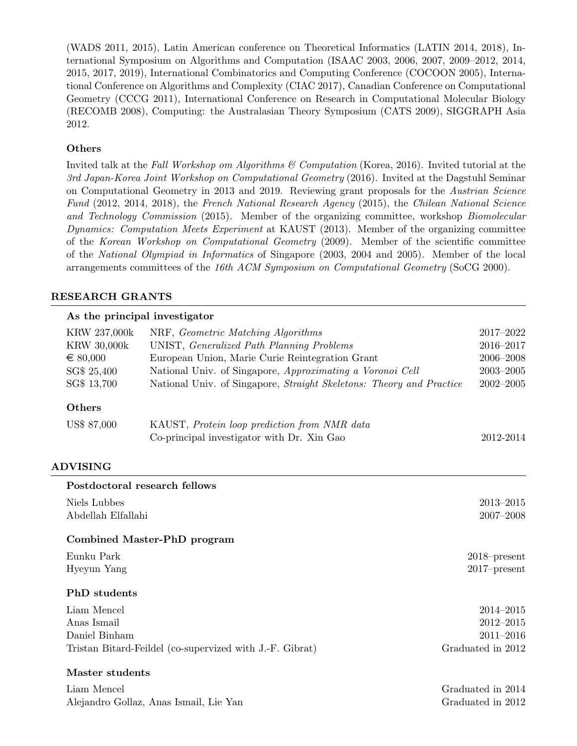(WADS 2011, 2015), Latin American conference on Theoretical Informatics (LATIN 2014, 2018), International Symposium on Algorithms and Computation (ISAAC 2003, 2006, 2007, 2009–2012, 2014, 2015, 2017, 2019), International Combinatorics and Computing Conference (COCOON 2005), International Conference on Algorithms and Complexity (CIAC 2017), Canadian Conference on Computational Geometry (CCCG 2011), International Conference on Research in Computational Molecular Biology (RECOMB 2008), Computing: the Australasian Theory Symposium (CATS 2009), SIGGRAPH Asia 2012.

# Others

Invited talk at the Fall Workshop om Algorithms & Computation (Korea, 2016). Invited tutorial at the 3rd Japan-Korea Joint Workshop on Computational Geometry (2016). Invited at the Dagstuhl Seminar on Computational Geometry in 2013 and 2019. Reviewing grant proposals for the Austrian Science Fund (2012, 2014, 2018), the French National Research Agency (2015), the Chilean National Science and Technology Commission (2015). Member of the organizing committee, workshop Biomolecular Dynamics: Computation Meets Experiment at KAUST (2013). Member of the organizing committee of the Korean Workshop on Computational Geometry (2009). Member of the scientific committee of the National Olympiad in Informatics of Singapore (2003, 2004 and 2005). Member of the local arrangements committees of the 16th ACM Symposium on Computational Geometry (SoCG 2000).

## RESEARCH GRANTS

# $\Delta s$  the principal investigator

|                     | $As$ and $p1$ incipal investigator                                   |                   |
|---------------------|----------------------------------------------------------------------|-------------------|
| KRW 237,000k        | NRF, Geometric Matching Algorithms                                   | 2017-2022         |
| <b>KRW 30,000k</b>  | UNIST, Generalized Path Planning Problems                            | 2016-2017         |
| $\in 80,000$        | European Union, Marie Curie Reintegration Grant                      | 2006-2008         |
| SG\$ 25,400         | National Univ. of Singapore, Approximating a Voronoi Cell            | $2003 - 2005$     |
| SG\$ 13,700         | National Univ. of Singapore, Straight Skeletons: Theory and Practice | $2002 - 2005$     |
| Others              |                                                                      |                   |
| US\$ 87,000         | KAUST, Protein loop prediction from NMR data                         |                   |
|                     | Co-principal investigator with Dr. Xin Gao                           | 2012-2014         |
| <b>ADVISING</b>     |                                                                      |                   |
|                     | Postdoctoral research fellows                                        |                   |
| Niels Lubbes        |                                                                      | $2013 - 2015$     |
| Abdellah Elfallahi  |                                                                      | 2007-2008         |
|                     | Combined Master-PhD program                                          |                   |
| Eunku Park          |                                                                      | $2018$ -present   |
| Hyeyun Yang         |                                                                      | $2017$ -present   |
| <b>PhD</b> students |                                                                      |                   |
| Liam Mencel         |                                                                      | 2014-2015         |
| Anas Ismail         |                                                                      | 2012-2015         |
| Daniel Binham       |                                                                      | $2011 - 2016$     |
|                     | Tristan Bitard-Feildel (co-supervized with J.-F. Gibrat)             | Graduated in 2012 |
|                     |                                                                      |                   |

# Master students

| Liam Mencel                            | Graduated in 2014 |
|----------------------------------------|-------------------|
| Alejandro Gollaz, Anas Ismail, Lie Yan | Graduated in 2012 |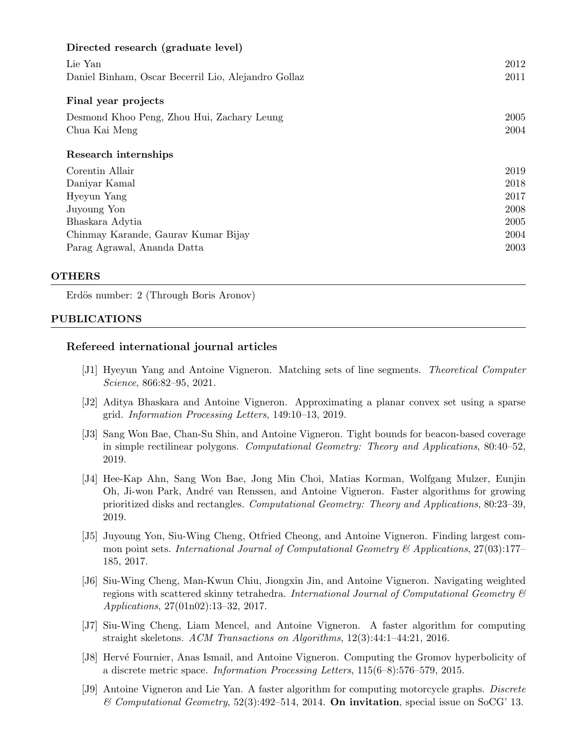| Directed research (graduate level)                  |      |
|-----------------------------------------------------|------|
| Lie Yan                                             | 2012 |
| Daniel Binham, Oscar Becerril Lio, Alejandro Gollaz | 2011 |
| Final year projects                                 |      |
| Desmond Khoo Peng, Zhou Hui, Zachary Leung          | 2005 |
| Chua Kai Meng                                       | 2004 |
| Research internships                                |      |
| Corentin Allair                                     | 2019 |
| Daniyar Kamal                                       | 2018 |
| Hyeyun Yang                                         | 2017 |
| Juyoung Yon                                         | 2008 |
| Bhaskara Adytia                                     | 2005 |
| Chinmay Karande, Gaurav Kumar Bijay                 | 2004 |
| Parag Agrawal, Ananda Datta                         | 2003 |

#### **OTHERS**

Erdös number: 2 (Through Boris Aronov)

#### PUBLICATIONS

## Refereed international journal articles

- [J1] Hyeyun Yang and Antoine Vigneron. Matching sets of line segments. Theoretical Computer Science, 866:82–95, 2021.
- [J2] Aditya Bhaskara and Antoine Vigneron. Approximating a planar convex set using a sparse grid. Information Processing Letters, 149:10–13, 2019.
- [J3] Sang Won Bae, Chan-Su Shin, and Antoine Vigneron. Tight bounds for beacon-based coverage in simple rectilinear polygons. Computational Geometry: Theory and Applications, 80:40–52, 2019.
- [J4] Hee-Kap Ahn, Sang Won Bae, Jong Min Choi, Matias Korman, Wolfgang Mulzer, Eunjin Oh, Ji-won Park, Andr´e van Renssen, and Antoine Vigneron. Faster algorithms for growing prioritized disks and rectangles. Computational Geometry: Theory and Applications, 80:23–39, 2019.
- [J5] Juyoung Yon, Siu-Wing Cheng, Otfried Cheong, and Antoine Vigneron. Finding largest common point sets. International Journal of Computational Geometry & Applications,  $27(03):177-$ 185, 2017.
- [J6] Siu-Wing Cheng, Man-Kwun Chiu, Jiongxin Jin, and Antoine Vigneron. Navigating weighted regions with scattered skinny tetrahedra. International Journal of Computational Geometry  $\mathcal{C}$ Applications, 27(01n02):13–32, 2017.
- [J7] Siu-Wing Cheng, Liam Mencel, and Antoine Vigneron. A faster algorithm for computing straight skeletons. ACM Transactions on Algorithms, 12(3):44:1–44:21, 2016.
- [J8] Hervé Fournier, Anas Ismail, and Antoine Vigneron. Computing the Gromov hyperbolicity of a discrete metric space. Information Processing Letters, 115(6–8):576–579, 2015.
- [J9] Antoine Vigneron and Lie Yan. A faster algorithm for computing motorcycle graphs. Discrete  $\mathcal C$  Computational Geometry, 52(3):492–514, 2014. On invitation, special issue on SoCG' 13.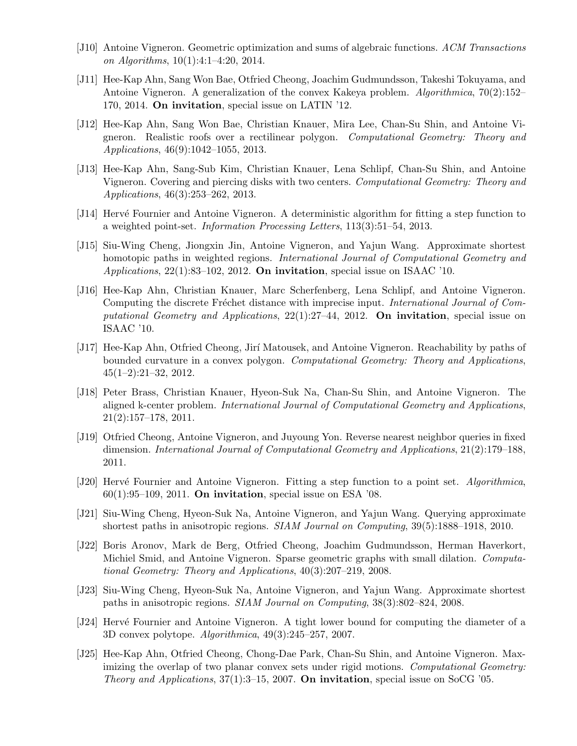- [J10] Antoine Vigneron. Geometric optimization and sums of algebraic functions. ACM Transactions on Algorithms, 10(1):4:1–4:20, 2014.
- [J11] Hee-Kap Ahn, Sang Won Bae, Otfried Cheong, Joachim Gudmundsson, Takeshi Tokuyama, and Antoine Vigneron. A generalization of the convex Kakeya problem. Algorithmica, 70(2):152– 170, 2014. On invitation, special issue on LATIN '12.
- [J12] Hee-Kap Ahn, Sang Won Bae, Christian Knauer, Mira Lee, Chan-Su Shin, and Antoine Vigneron. Realistic roofs over a rectilinear polygon. Computational Geometry: Theory and Applications, 46(9):1042–1055, 2013.
- [J13] Hee-Kap Ahn, Sang-Sub Kim, Christian Knauer, Lena Schlipf, Chan-Su Shin, and Antoine Vigneron. Covering and piercing disks with two centers. Computational Geometry: Theory and Applications, 46(3):253–262, 2013.
- [J14] Herv´e Fournier and Antoine Vigneron. A deterministic algorithm for fitting a step function to a weighted point-set. Information Processing Letters, 113(3):51–54, 2013.
- [J15] Siu-Wing Cheng, Jiongxin Jin, Antoine Vigneron, and Yajun Wang. Approximate shortest homotopic paths in weighted regions. International Journal of Computational Geometry and Applications,  $22(1)$ :83-102, 2012. On invitation, special issue on ISAAC '10.
- [J16] Hee-Kap Ahn, Christian Knauer, Marc Scherfenberg, Lena Schlipf, and Antoine Vigneron. Computing the discrete Fréchet distance with imprecise input. *International Journal of Com*putational Geometry and Applications,  $22(1):27-44$ , 2012. On invitation, special issue on ISAAC '10.
- [J17] Hee-Kap Ahn, Otfried Cheong, Jir´ı Matousek, and Antoine Vigneron. Reachability by paths of bounded curvature in a convex polygon. Computational Geometry: Theory and Applications,  $45(1-2):21-32, 2012.$
- [J18] Peter Brass, Christian Knauer, Hyeon-Suk Na, Chan-Su Shin, and Antoine Vigneron. The aligned k-center problem. International Journal of Computational Geometry and Applications, 21(2):157–178, 2011.
- [J19] Otfried Cheong, Antoine Vigneron, and Juyoung Yon. Reverse nearest neighbor queries in fixed dimension. International Journal of Computational Geometry and Applications, 21(2):179–188, 2011.
- [J20] Hervé Fournier and Antoine Vigneron. Fitting a step function to a point set. Algorithmica,  $60(1):95-109$ , 2011. On invitation, special issue on ESA '08.
- [J21] Siu-Wing Cheng, Hyeon-Suk Na, Antoine Vigneron, and Yajun Wang. Querying approximate shortest paths in anisotropic regions. SIAM Journal on Computing, 39(5):1888–1918, 2010.
- [J22] Boris Aronov, Mark de Berg, Otfried Cheong, Joachim Gudmundsson, Herman Haverkort, Michiel Smid, and Antoine Vigneron. Sparse geometric graphs with small dilation. Computational Geometry: Theory and Applications, 40(3):207–219, 2008.
- [J23] Siu-Wing Cheng, Hyeon-Suk Na, Antoine Vigneron, and Yajun Wang. Approximate shortest paths in anisotropic regions. SIAM Journal on Computing, 38(3):802–824, 2008.
- [J24] Hervé Fournier and Antoine Vigneron. A tight lower bound for computing the diameter of a 3D convex polytope. Algorithmica, 49(3):245–257, 2007.
- [J25] Hee-Kap Ahn, Otfried Cheong, Chong-Dae Park, Chan-Su Shin, and Antoine Vigneron. Maximizing the overlap of two planar convex sets under rigid motions. Computational Geometry: Theory and Applications,  $37(1)$ :3-15, 2007. On invitation, special issue on SoCG '05.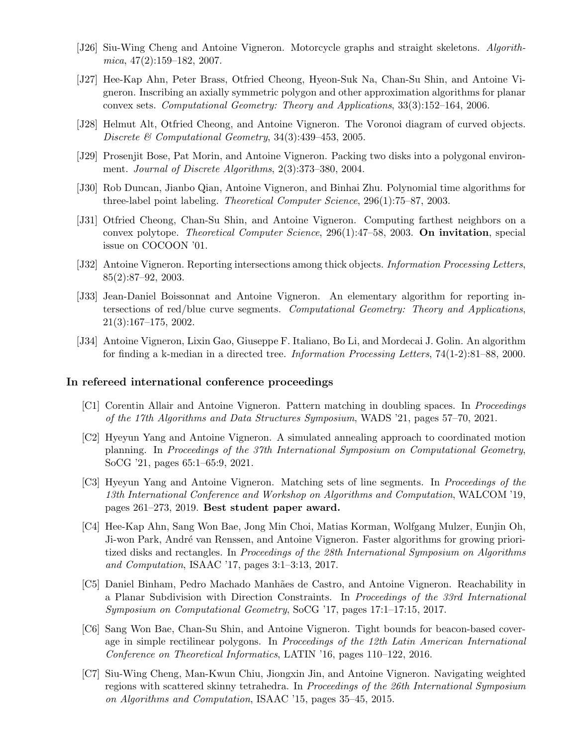- [J26] Siu-Wing Cheng and Antoine Vigneron. Motorcycle graphs and straight skeletons. Algorith $mica, 47(2):159–182, 2007.$
- [J27] Hee-Kap Ahn, Peter Brass, Otfried Cheong, Hyeon-Suk Na, Chan-Su Shin, and Antoine Vigneron. Inscribing an axially symmetric polygon and other approximation algorithms for planar convex sets. Computational Geometry: Theory and Applications, 33(3):152–164, 2006.
- [J28] Helmut Alt, Otfried Cheong, and Antoine Vigneron. The Voronoi diagram of curved objects. Discrete & Computational Geometry, 34(3):439–453, 2005.
- [J29] Prosenjit Bose, Pat Morin, and Antoine Vigneron. Packing two disks into a polygonal environment. Journal of Discrete Algorithms, 2(3):373–380, 2004.
- [J30] Rob Duncan, Jianbo Qian, Antoine Vigneron, and Binhai Zhu. Polynomial time algorithms for three-label point labeling. Theoretical Computer Science, 296(1):75–87, 2003.
- [J31] Otfried Cheong, Chan-Su Shin, and Antoine Vigneron. Computing farthest neighbors on a convex polytope. Theoretical Computer Science, 296(1):47–58, 2003. On invitation, special issue on COCOON '01.
- [J32] Antoine Vigneron. Reporting intersections among thick objects. *Information Processing Letters*, 85(2):87–92, 2003.
- [J33] Jean-Daniel Boissonnat and Antoine Vigneron. An elementary algorithm for reporting intersections of red/blue curve segments. Computational Geometry: Theory and Applications, 21(3):167–175, 2002.
- [J34] Antoine Vigneron, Lixin Gao, Giuseppe F. Italiano, Bo Li, and Mordecai J. Golin. An algorithm for finding a k-median in a directed tree. Information Processing Letters, 74(1-2):81–88, 2000.

#### In refereed international conference proceedings

- [C1] Corentin Allair and Antoine Vigneron. Pattern matching in doubling spaces. In Proceedings of the 17th Algorithms and Data Structures Symposium, WADS '21, pages 57–70, 2021.
- [C2] Hyeyun Yang and Antoine Vigneron. A simulated annealing approach to coordinated motion planning. In Proceedings of the 37th International Symposium on Computational Geometry, SoCG '21, pages 65:1–65:9, 2021.
- [C3] Hyeyun Yang and Antoine Vigneron. Matching sets of line segments. In Proceedings of the 13th International Conference and Workshop on Algorithms and Computation, WALCOM '19, pages 261–273, 2019. Best student paper award.
- [C4] Hee-Kap Ahn, Sang Won Bae, Jong Min Choi, Matias Korman, Wolfgang Mulzer, Eunjin Oh, Ji-won Park, André van Renssen, and Antoine Vigneron. Faster algorithms for growing prioritized disks and rectangles. In Proceedings of the 28th International Symposium on Algorithms and Computation, ISAAC '17, pages 3:1–3:13, 2017.
- [C5] Daniel Binham, Pedro Machado Manh˜aes de Castro, and Antoine Vigneron. Reachability in a Planar Subdivision with Direction Constraints. In Proceedings of the 33rd International Symposium on Computational Geometry, SoCG '17, pages 17:1–17:15, 2017.
- [C6] Sang Won Bae, Chan-Su Shin, and Antoine Vigneron. Tight bounds for beacon-based coverage in simple rectilinear polygons. In Proceedings of the 12th Latin American International Conference on Theoretical Informatics, LATIN '16, pages 110–122, 2016.
- [C7] Siu-Wing Cheng, Man-Kwun Chiu, Jiongxin Jin, and Antoine Vigneron. Navigating weighted regions with scattered skinny tetrahedra. In *Proceedings of the 26th International Symposium* on Algorithms and Computation, ISAAC '15, pages 35–45, 2015.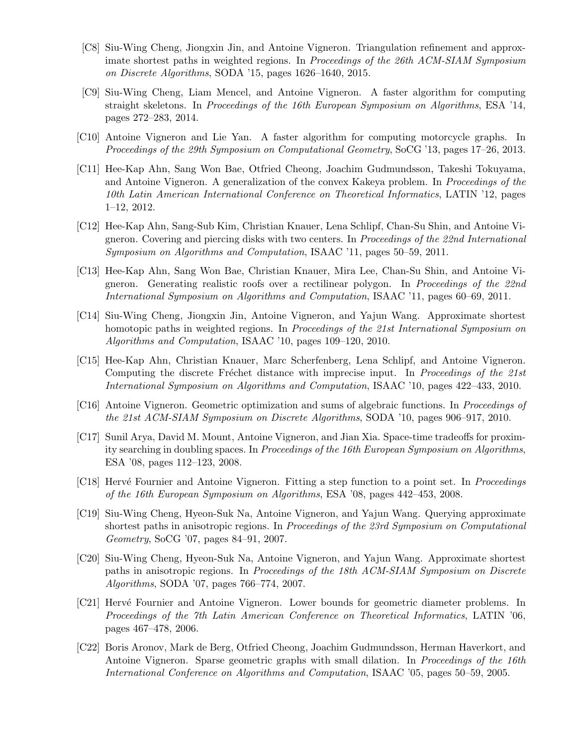- [C8] Siu-Wing Cheng, Jiongxin Jin, and Antoine Vigneron. Triangulation refinement and approximate shortest paths in weighted regions. In Proceedings of the 26th ACM-SIAM Symposium on Discrete Algorithms, SODA '15, pages 1626–1640, 2015.
- [C9] Siu-Wing Cheng, Liam Mencel, and Antoine Vigneron. A faster algorithm for computing straight skeletons. In Proceedings of the 16th European Symposium on Algorithms, ESA '14, pages 272–283, 2014.
- [C10] Antoine Vigneron and Lie Yan. A faster algorithm for computing motorcycle graphs. In Proceedings of the 29th Symposium on Computational Geometry, SoCG '13, pages 17–26, 2013.
- [C11] Hee-Kap Ahn, Sang Won Bae, Otfried Cheong, Joachim Gudmundsson, Takeshi Tokuyama, and Antoine Vigneron. A generalization of the convex Kakeya problem. In Proceedings of the 10th Latin American International Conference on Theoretical Informatics, LATIN '12, pages 1–12, 2012.
- [C12] Hee-Kap Ahn, Sang-Sub Kim, Christian Knauer, Lena Schlipf, Chan-Su Shin, and Antoine Vigneron. Covering and piercing disks with two centers. In Proceedings of the 22nd International Symposium on Algorithms and Computation, ISAAC '11, pages 50–59, 2011.
- [C13] Hee-Kap Ahn, Sang Won Bae, Christian Knauer, Mira Lee, Chan-Su Shin, and Antoine Vigneron. Generating realistic roofs over a rectilinear polygon. In Proceedings of the 22nd International Symposium on Algorithms and Computation, ISAAC '11, pages 60–69, 2011.
- [C14] Siu-Wing Cheng, Jiongxin Jin, Antoine Vigneron, and Yajun Wang. Approximate shortest homotopic paths in weighted regions. In *Proceedings of the 21st International Symposium on* Algorithms and Computation, ISAAC '10, pages 109–120, 2010.
- [C15] Hee-Kap Ahn, Christian Knauer, Marc Scherfenberg, Lena Schlipf, and Antoine Vigneron. Computing the discrete Fréchet distance with imprecise input. In Proceedings of the 21st International Symposium on Algorithms and Computation, ISAAC '10, pages 422–433, 2010.
- [C16] Antoine Vigneron. Geometric optimization and sums of algebraic functions. In Proceedings of the 21st ACM-SIAM Symposium on Discrete Algorithms, SODA '10, pages 906–917, 2010.
- [C17] Sunil Arya, David M. Mount, Antoine Vigneron, and Jian Xia. Space-time tradeoffs for proximity searching in doubling spaces. In Proceedings of the 16th European Symposium on Algorithms, ESA '08, pages 112–123, 2008.
- [C18] Hervé Fournier and Antoine Vigneron. Fitting a step function to a point set. In Proceedings of the 16th European Symposium on Algorithms, ESA '08, pages 442–453, 2008.
- [C19] Siu-Wing Cheng, Hyeon-Suk Na, Antoine Vigneron, and Yajun Wang. Querying approximate shortest paths in anisotropic regions. In *Proceedings of the 23rd Symposium on Computational* Geometry, SoCG '07, pages 84–91, 2007.
- [C20] Siu-Wing Cheng, Hyeon-Suk Na, Antoine Vigneron, and Yajun Wang. Approximate shortest paths in anisotropic regions. In Proceedings of the 18th ACM-SIAM Symposium on Discrete Algorithms, SODA '07, pages 766–774, 2007.
- [C21] Herv´e Fournier and Antoine Vigneron. Lower bounds for geometric diameter problems. In Proceedings of the 7th Latin American Conference on Theoretical Informatics, LATIN '06, pages 467–478, 2006.
- [C22] Boris Aronov, Mark de Berg, Otfried Cheong, Joachim Gudmundsson, Herman Haverkort, and Antoine Vigneron. Sparse geometric graphs with small dilation. In *Proceedings of the 16th* International Conference on Algorithms and Computation, ISAAC '05, pages 50–59, 2005.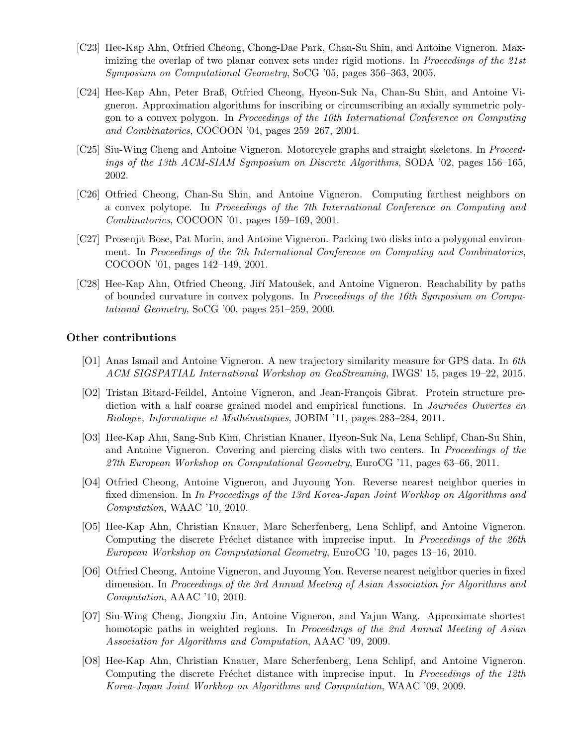- [C23] Hee-Kap Ahn, Otfried Cheong, Chong-Dae Park, Chan-Su Shin, and Antoine Vigneron. Maximizing the overlap of two planar convex sets under rigid motions. In *Proceedings of the 21st* Symposium on Computational Geometry, SoCG '05, pages 356–363, 2005.
- [C24] Hee-Kap Ahn, Peter Braß, Otfried Cheong, Hyeon-Suk Na, Chan-Su Shin, and Antoine Vigneron. Approximation algorithms for inscribing or circumscribing an axially symmetric polygon to a convex polygon. In Proceedings of the 10th International Conference on Computing and Combinatorics, COCOON '04, pages 259–267, 2004.
- [C25] Siu-Wing Cheng and Antoine Vigneron. Motorcycle graphs and straight skeletons. In Proceedings of the 13th ACM-SIAM Symposium on Discrete Algorithms, SODA '02, pages 156–165, 2002.
- [C26] Otfried Cheong, Chan-Su Shin, and Antoine Vigneron. Computing farthest neighbors on a convex polytope. In Proceedings of the 7th International Conference on Computing and Combinatorics, COCOON '01, pages 159–169, 2001.
- [C27] Prosenjit Bose, Pat Morin, and Antoine Vigneron. Packing two disks into a polygonal environment. In Proceedings of the 7th International Conference on Computing and Combinatorics, COCOON '01, pages 142–149, 2001.
- [C28] Hee-Kap Ahn, Otfried Cheong, Jiří Matoušek, and Antoine Vigneron. Reachability by paths of bounded curvature in convex polygons. In Proceedings of the 16th Symposium on Computational Geometry, SoCG '00, pages 251–259, 2000.

#### Other contributions

- [O1] Anas Ismail and Antoine Vigneron. A new trajectory similarity measure for GPS data. In 6th ACM SIGSPATIAL International Workshop on GeoStreaming, IWGS' 15, pages 19–22, 2015.
- [O2] Tristan Bitard-Feildel, Antoine Vigneron, and Jean-François Gibrat. Protein structure prediction with a half coarse grained model and empirical functions. In *Journées Ouvertes en* Biologie, Informatique et Mathématiques, JOBIM '11, pages 283-284, 2011.
- [O3] Hee-Kap Ahn, Sang-Sub Kim, Christian Knauer, Hyeon-Suk Na, Lena Schlipf, Chan-Su Shin, and Antoine Vigneron. Covering and piercing disks with two centers. In Proceedings of the 27th European Workshop on Computational Geometry, EuroCG '11, pages 63–66, 2011.
- [O4] Otfried Cheong, Antoine Vigneron, and Juyoung Yon. Reverse nearest neighbor queries in fixed dimension. In In Proceedings of the 13rd Korea-Japan Joint Workhop on Algorithms and Computation, WAAC '10, 2010.
- [O5] Hee-Kap Ahn, Christian Knauer, Marc Scherfenberg, Lena Schlipf, and Antoine Vigneron. Computing the discrete Fréchet distance with imprecise input. In Proceedings of the 26th European Workshop on Computational Geometry, EuroCG '10, pages 13–16, 2010.
- [O6] Otfried Cheong, Antoine Vigneron, and Juyoung Yon. Reverse nearest neighbor queries in fixed dimension. In Proceedings of the 3rd Annual Meeting of Asian Association for Algorithms and Computation, AAAC '10, 2010.
- [O7] Siu-Wing Cheng, Jiongxin Jin, Antoine Vigneron, and Yajun Wang. Approximate shortest homotopic paths in weighted regions. In Proceedings of the 2nd Annual Meeting of Asian Association for Algorithms and Computation, AAAC '09, 2009.
- [O8] Hee-Kap Ahn, Christian Knauer, Marc Scherfenberg, Lena Schlipf, and Antoine Vigneron. Computing the discrete Fréchet distance with imprecise input. In Proceedings of the 12th Korea-Japan Joint Workhop on Algorithms and Computation, WAAC '09, 2009.